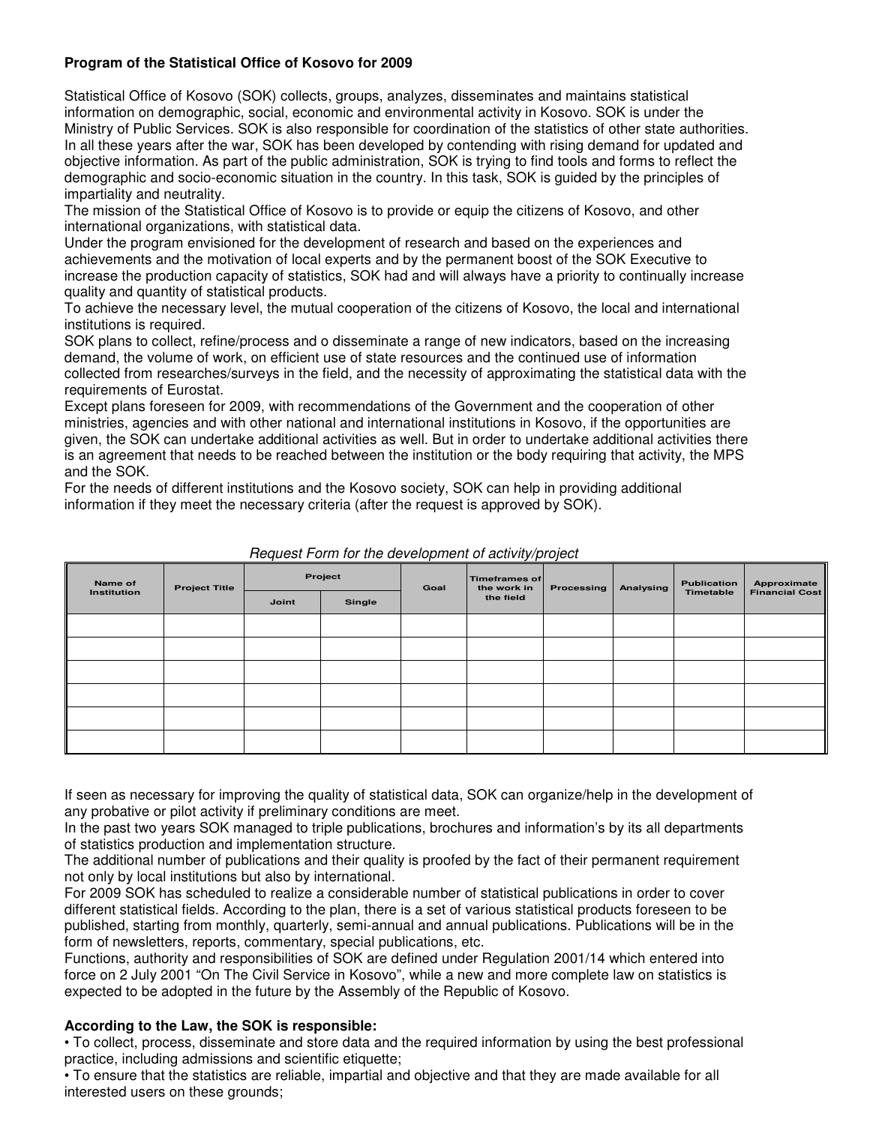# **Program of the Statistical Office of Kosovo for 2009**

Statistical Office of Kosovo (SOK) collects, groups, analyzes, disseminates and maintains statistical information on demographic, social, economic and environmental activity in Kosovo. SOK is under the Ministry of Public Services. SOK is also responsible for coordination of the statistics of other state authorities. In all these years after the war, SOK has been developed by contending with rising demand for updated and objective information. As part of the public administration, SOK is trying to find tools and forms to reflect the demographic and socio-economic situation in the country. In this task, SOK is guided by the principles of impartiality and neutrality.

The mission of the Statistical Office of Kosovo is to provide or equip the citizens of Kosovo, and other international organizations, with statistical data.

Under the program envisioned for the development of research and based on the experiences and achievements and the motivation of local experts and by the permanent boost of the SOK Executive to increase the production capacity of statistics, SOK had and will always have a priority to continually increase quality and quantity of statistical products.

To achieve the necessary level, the mutual cooperation of the citizens of Kosovo, the local and international institutions is required.

SOK plans to collect, refine/process and o disseminate a range of new indicators, based on the increasing demand, the volume of work, on efficient use of state resources and the continued use of information collected from researches/surveys in the field, and the necessity of approximating the statistical data with the requirements of Eurostat.

Except plans foreseen for 2009, with recommendations of the Government and the cooperation of other ministries, agencies and with other national and international institutions in Kosovo, if the opportunities are given, the SOK can undertake additional activities as well. But in order to undertake additional activities there is an agreement that needs to be reached between the institution or the body requiring that activity, the MPS and the SOK.

For the needs of different institutions and the Kosovo society, SOK can help in providing additional information if they meet the necessary criteria (after the request is approved by SOK).

| Name of     | <b>Project Title</b> | Project |        | Goal | Timeframes of<br>the work in | Processing | Analysing | Publication | Approximate           |
|-------------|----------------------|---------|--------|------|------------------------------|------------|-----------|-------------|-----------------------|
| Institution |                      | Joint   | Single |      | the field                    |            |           | Timetable   | <b>Financial Cost</b> |
|             |                      |         |        |      |                              |            |           |             |                       |
|             |                      |         |        |      |                              |            |           |             |                       |
|             |                      |         |        |      |                              |            |           |             |                       |
|             |                      |         |        |      |                              |            |           |             |                       |
|             |                      |         |        |      |                              |            |           |             |                       |
|             |                      |         |        |      |                              |            |           |             |                       |

Request Form for the development of activity/project

If seen as necessary for improving the quality of statistical data, SOK can organize/help in the development of any probative or pilot activity if preliminary conditions are meet.

In the past two years SOK managed to triple publications, brochures and information's by its all departments of statistics production and implementation structure.

The additional number of publications and their quality is proofed by the fact of their permanent requirement not only by local institutions but also by international.

For 2009 SOK has scheduled to realize a considerable number of statistical publications in order to cover different statistical fields. According to the plan, there is a set of various statistical products foreseen to be published, starting from monthly, quarterly, semi-annual and annual publications. Publications will be in the form of newsletters, reports, commentary, special publications, etc.

Functions, authority and responsibilities of SOK are defined under Regulation 2001/14 which entered into force on 2 July 2001 "On The Civil Service in Kosovo", while a new and more complete law on statistics is expected to be adopted in the future by the Assembly of the Republic of Kosovo.

### **According to the Law, the SOK is responsible:**

• To collect, process, disseminate and store data and the required information by using the best professional practice, including admissions and scientific etiquette;

• To ensure that the statistics are reliable, impartial and objective and that they are made available for all interested users on these grounds;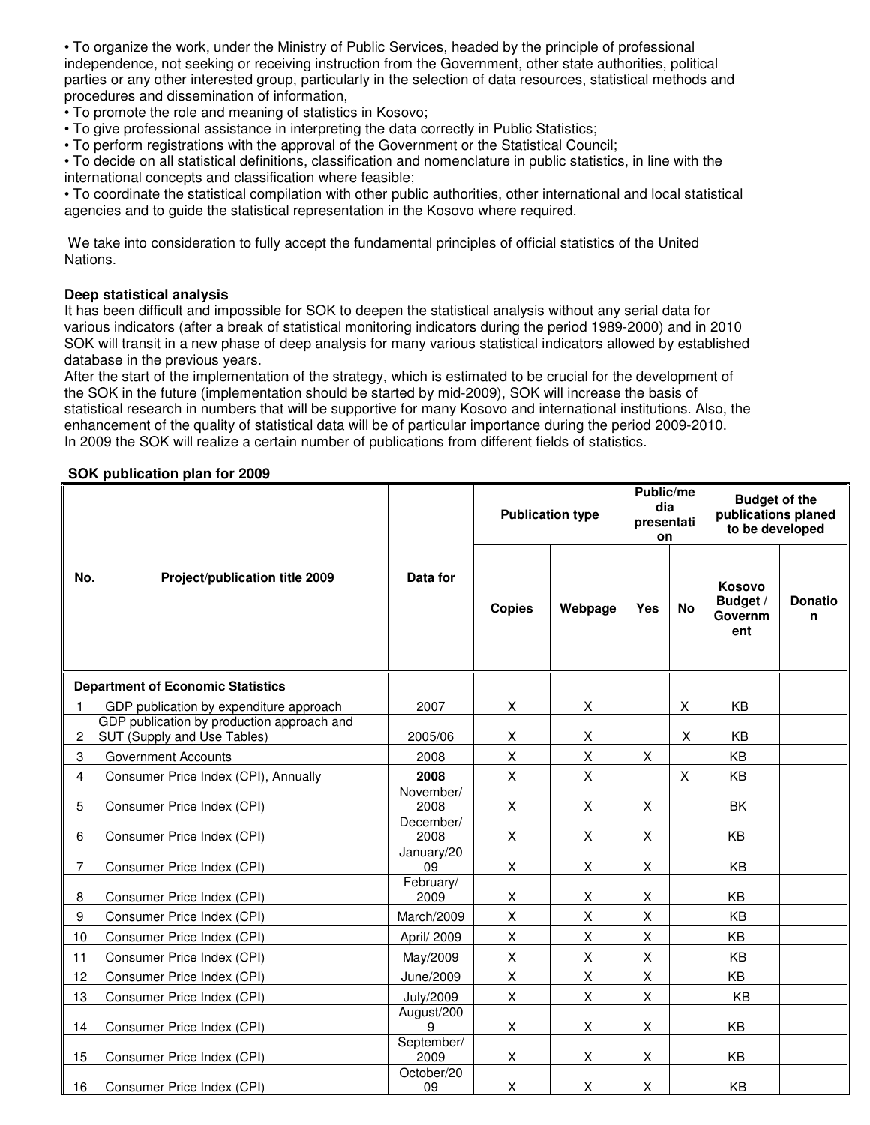• To organize the work, under the Ministry of Public Services, headed by the principle of professional independence, not seeking or receiving instruction from the Government, other state authorities, political parties or any other interested group, particularly in the selection of data resources, statistical methods and procedures and dissemination of information,

- To promote the role and meaning of statistics in Kosovo;
- To give professional assistance in interpreting the data correctly in Public Statistics;
- To perform registrations with the approval of the Government or the Statistical Council;

• To decide on all statistical definitions, classification and nomenclature in public statistics, in line with the international concepts and classification where feasible;

• To coordinate the statistical compilation with other public authorities, other international and local statistical agencies and to guide the statistical representation in the Kosovo where required.

 We take into consideration to fully accept the fundamental principles of official statistics of the United Nations.

#### **Deep statistical analysis**

It has been difficult and impossible for SOK to deepen the statistical analysis without any serial data for various indicators (after a break of statistical monitoring indicators during the period 1989-2000) and in 2010 SOK will transit in a new phase of deep analysis for many various statistical indicators allowed by established database in the previous years.

After the start of the implementation of the strategy, which is estimated to be crucial for the development of the SOK in the future (implementation should be started by mid-2009), SOK will increase the basis of statistical research in numbers that will be supportive for many Kosovo and international institutions. Also, the enhancement of the quality of statistical data will be of particular importance during the period 2009-2010. In 2009 the SOK will realize a certain number of publications from different fields of statistics.

#### **SOK publication plan for 2009**

|                |                                                                           |                    | <b>Publication type</b> |         | Public/me<br>dia<br>presentati<br>on |    | <b>Budget of the</b><br>publications planed<br>to be developed |                     |
|----------------|---------------------------------------------------------------------------|--------------------|-------------------------|---------|--------------------------------------|----|----------------------------------------------------------------|---------------------|
| No.            | Project/publication title 2009                                            | Data for           | <b>Copies</b>           | Webpage | <b>Yes</b>                           | No | Kosovo<br>Budget /<br>Governm<br>ent                           | <b>Donatio</b><br>n |
|                | <b>Department of Economic Statistics</b>                                  |                    |                         |         |                                      |    |                                                                |                     |
| 1.             | GDP publication by expenditure approach                                   | 2007               | X                       | X       |                                      | X  | KB                                                             |                     |
| 2              | GDP publication by production approach and<br>SUT (Supply and Use Tables) | 2005/06            | X                       | X       |                                      | X  | KB                                                             |                     |
| 3              | <b>Government Accounts</b>                                                | 2008               | X                       | X       | X                                    |    | KB                                                             |                     |
| $\overline{4}$ | Consumer Price Index (CPI), Annually                                      | 2008               | X                       | X       |                                      | X  | KB                                                             |                     |
| 5              | Consumer Price Index (CPI)                                                | November/<br>2008  | X                       | X       | X                                    |    | <b>BK</b>                                                      |                     |
| 6              | Consumer Price Index (CPI)                                                | December/<br>2008  | X                       | X       | $\pmb{\times}$                       |    | KB                                                             |                     |
| $\overline{7}$ | Consumer Price Index (CPI)                                                | January/20<br>09   | X                       | X       | X                                    |    | KB                                                             |                     |
| 8              | Consumer Price Index (CPI)                                                | February/<br>2009  | X                       | X       | X                                    |    | KB                                                             |                     |
| 9              | Consumer Price Index (CPI)                                                | March/2009         | X                       | X       | $\mathsf X$                          |    | KB                                                             |                     |
| $10$           | Consumer Price Index (CPI)                                                | April/ 2009        | X                       | X       | X                                    |    | KB                                                             |                     |
| 11             | Consumer Price Index (CPI)                                                | May/2009           | X                       | X       | $\pmb{\times}$                       |    | KB                                                             |                     |
| 12             | Consumer Price Index (CPI)                                                | June/2009          | X                       | X       | X                                    |    | <b>KB</b>                                                      |                     |
| 13             | Consumer Price Index (CPI)                                                | <b>July/2009</b>   | X                       | X       | $\pmb{\times}$                       |    | KB                                                             |                     |
| 14             | Consumer Price Index (CPI)                                                | August/200<br>9    | X                       | X       | X                                    |    | KB                                                             |                     |
| 15             | Consumer Price Index (CPI)                                                | September/<br>2009 | X                       | X       | X                                    |    | KB                                                             |                     |
| 16             | Consumer Price Index (CPI)                                                | October/20<br>09   | X                       | X       | X                                    |    | KB                                                             |                     |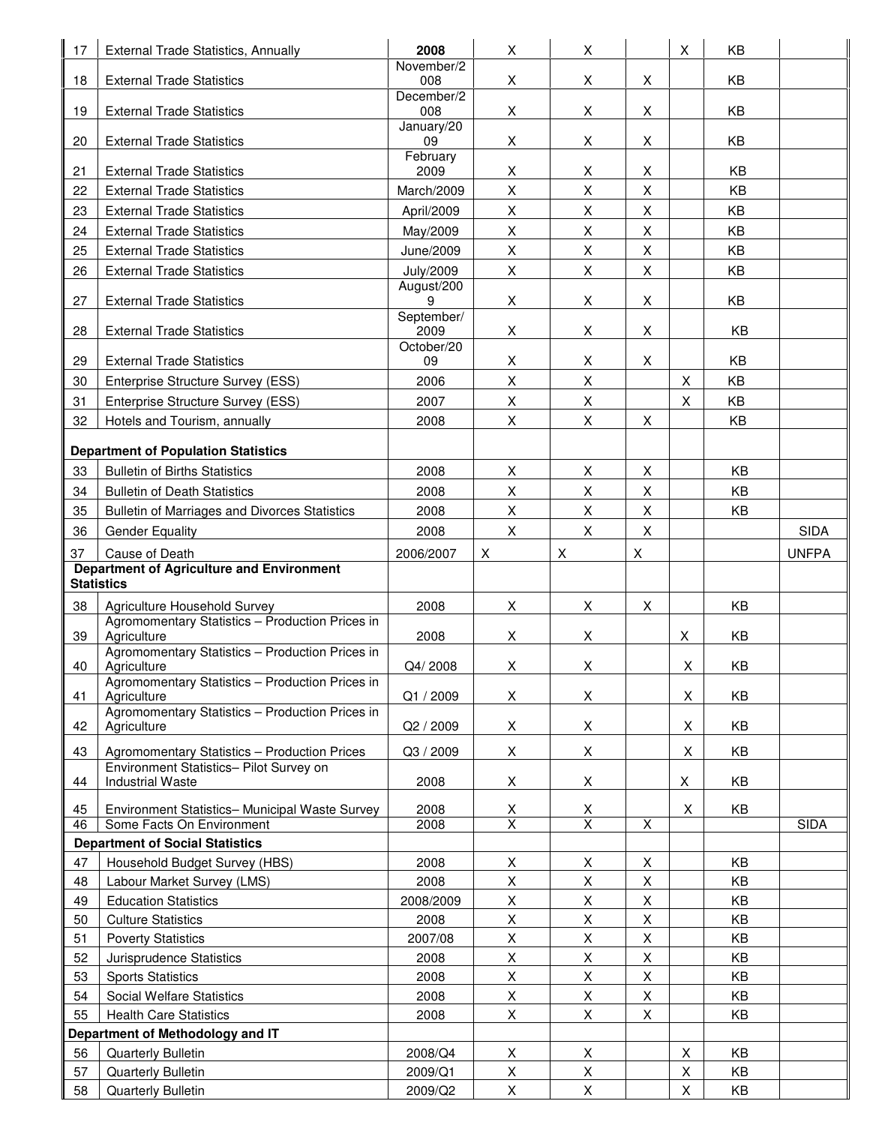| 17       | External Trade Statistics, Annually                                                     | 2008                           | X                       | X                 |   | X      | KB       |              |
|----------|-----------------------------------------------------------------------------------------|--------------------------------|-------------------------|-------------------|---|--------|----------|--------------|
|          |                                                                                         | November/2                     |                         |                   |   |        |          |              |
| 18       | <b>External Trade Statistics</b>                                                        | 008<br>December/2              | X                       | X                 | X |        | KB       |              |
| 19       | <b>External Trade Statistics</b>                                                        | 008                            | X                       | X                 | X |        | KB       |              |
| 20       | <b>External Trade Statistics</b>                                                        | January/20<br>09               | X                       | X                 | X |        | KB       |              |
|          |                                                                                         | February                       |                         |                   |   |        |          |              |
| 21       | <b>External Trade Statistics</b>                                                        | 2009                           | X                       | X                 | X |        | KB       |              |
| 22       | <b>External Trade Statistics</b>                                                        | March/2009                     | X                       | X                 | X |        | KB       |              |
| 23       | <b>External Trade Statistics</b>                                                        | April/2009                     | X                       | X                 | X |        | KB       |              |
| 24       | <b>External Trade Statistics</b>                                                        | May/2009                       | $\mathsf{X}$            | X                 | X |        | KB       |              |
| 25       | <b>External Trade Statistics</b>                                                        | June/2009                      | X                       | X                 | X |        | KB       |              |
| 26       | <b>External Trade Statistics</b>                                                        | <b>July/2009</b><br>August/200 | X                       | X                 | X |        | KB       |              |
| 27       | <b>External Trade Statistics</b>                                                        | 9                              | X                       | X                 | X |        | KB       |              |
|          |                                                                                         | September/                     |                         |                   |   |        |          |              |
| 28       | <b>External Trade Statistics</b>                                                        | 2009<br>October/20             | X                       | X                 | X |        | KB       |              |
| 29       | <b>External Trade Statistics</b>                                                        | 09                             | X                       | X                 | X |        | KB       |              |
| 30       | Enterprise Structure Survey (ESS)                                                       | 2006                           | X                       | X                 |   | X      | KB       |              |
| 31       | Enterprise Structure Survey (ESS)                                                       | 2007                           | X                       | Χ                 |   | X      | KB       |              |
| 32       | Hotels and Tourism, annually                                                            | 2008                           | X                       | X                 | X |        | KB       |              |
|          |                                                                                         |                                |                         |                   |   |        |          |              |
|          | <b>Department of Population Statistics</b>                                              |                                |                         |                   |   |        |          |              |
| 33       | <b>Bulletin of Births Statistics</b>                                                    | 2008                           | X                       | X                 | X |        | KB       |              |
| 34       | <b>Bulletin of Death Statistics</b>                                                     | 2008                           | X                       | X                 | X |        | KB       |              |
| 35       | Bulletin of Marriages and Divorces Statistics                                           | 2008                           | X                       | X                 | X |        | KB       |              |
| 36       | <b>Gender Equality</b>                                                                  | 2008                           | X                       | X                 | X |        |          | <b>SIDA</b>  |
| 37       | Cause of Death                                                                          | 2006/2007                      | X                       | X                 | X |        |          | <b>UNFPA</b> |
|          | <b>Department of Agriculture and Environment</b><br><b>Statistics</b>                   |                                |                         |                   |   |        |          |              |
| 38       | Agriculture Household Survey                                                            | 2008                           | X                       | X                 | X |        | KB       |              |
|          | Agromomentary Statistics - Production Prices in                                         |                                |                         |                   |   |        |          |              |
| 39       | Agriculture                                                                             | 2008                           | X                       | X                 |   | X      | KB       |              |
| 40       | Agromomentary Statistics - Production Prices in<br>Agriculture                          | Q4/2008                        | X                       | X                 |   | X      | KB       |              |
|          | Agromomentary Statistics - Production Prices in                                         |                                |                         |                   |   |        |          |              |
| 41       | Agriculture                                                                             | Q1 / 2009                      | X                       | X                 |   | X      | KB       |              |
| 42       | Agromomentary Statistics - Production Prices in<br>Agriculture                          | Q2 / 2009                      | X                       | X                 |   | X      | KB       |              |
|          |                                                                                         |                                |                         |                   |   |        |          |              |
| 43       | Agromomentary Statistics - Production Prices<br>Environment Statistics- Pilot Survey on | Q3 / 2009                      | X                       | X                 |   | X      | KB       |              |
| 44       | <b>Industrial Waste</b>                                                                 | 2008                           | X                       | X                 |   | Χ      | KB       |              |
| 45       | Environment Statistics- Municipal Waste Survey                                          | 2008                           | $\overline{X}$          |                   |   | X      | KB       |              |
| 46       | Some Facts On Environment                                                               | 2008                           | $\overline{\mathsf{x}}$ | $\frac{x}{x}$     | X |        |          | <b>SIDA</b>  |
|          | <b>Department of Social Statistics</b>                                                  |                                |                         |                   |   |        |          |              |
| 47       | Household Budget Survey (HBS)                                                           | 2008                           | X                       | X                 | X |        | KB       |              |
| 48       | Labour Market Survey (LMS)                                                              | 2008                           | X                       | X                 | X |        | KB       |              |
| 49       | <b>Education Statistics</b>                                                             | 2008/2009                      | X                       | X                 | X |        | KB       |              |
| 50       | <b>Culture Statistics</b>                                                               | 2008                           | X                       | X                 | X |        | KB       |              |
| 51       | <b>Poverty Statistics</b>                                                               | 2007/08                        | X                       | X                 | X |        | KB       |              |
| 52       | Jurisprudence Statistics                                                                | 2008                           | X                       | X                 | X |        | KB       |              |
| 53       | <b>Sports Statistics</b>                                                                | 2008                           | X                       | X                 | X |        | KB       |              |
| 54       | <b>Social Welfare Statistics</b>                                                        | 2008                           | X                       | X                 | X |        | KB       |              |
| 55       | <b>Health Care Statistics</b>                                                           | 2008                           | X                       | X                 | X |        | KB       |              |
|          | Department of Methodology and IT                                                        |                                |                         |                   |   |        |          |              |
| 56       | Quarterly Bulletin                                                                      | 2008/Q4                        | X                       | X                 |   | X      | KB.      |              |
| 57<br>58 | Quarterly Bulletin<br>Quarterly Bulletin                                                | 2009/Q1<br>2009/Q2             | X<br>$\mathsf X$        | X<br>$\mathsf{X}$ |   | X<br>X | KB<br>KB |              |
|          |                                                                                         |                                |                         |                   |   |        |          |              |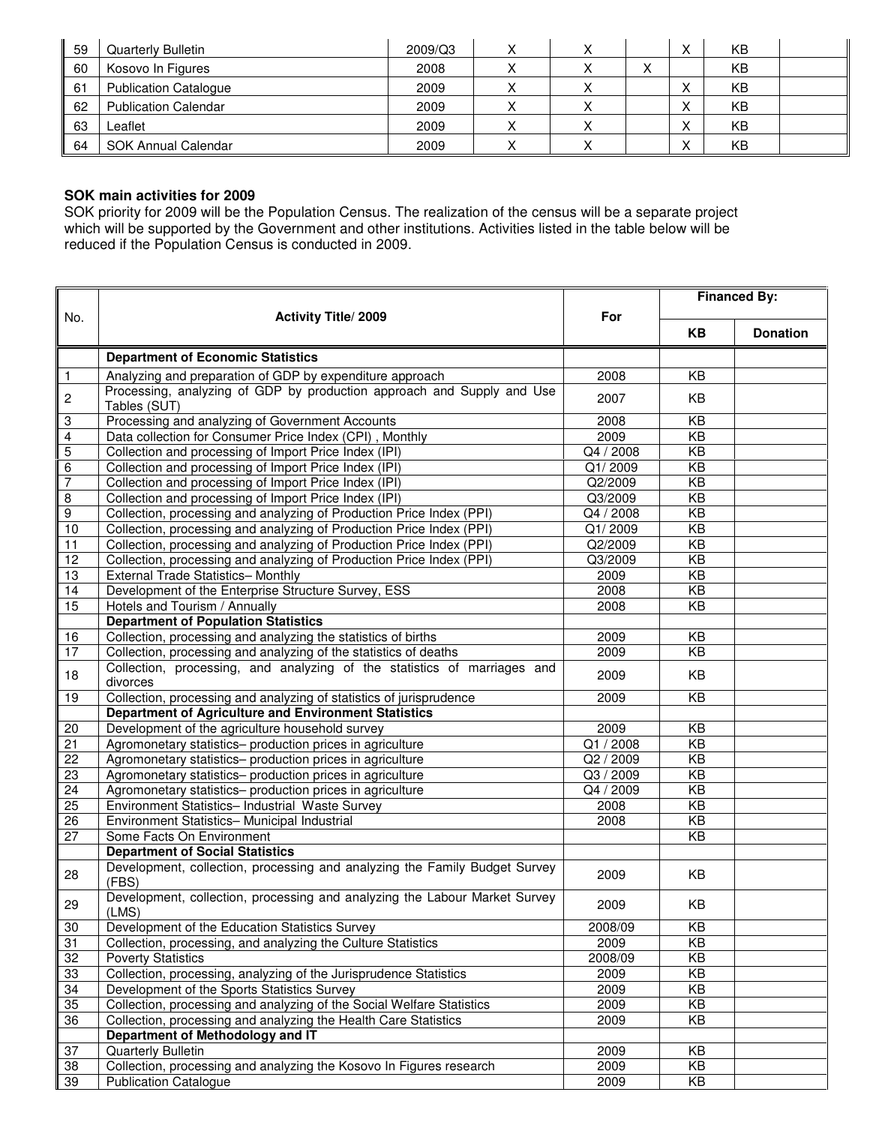| 59 | <b>Quarterly Bulletin</b>    | 2009/Q3 |  |   | ⌒         | KB |  |
|----|------------------------------|---------|--|---|-----------|----|--|
| 60 | Kosovo In Figures            | 2008    |  | ↗ |           | KB |  |
| 61 | <b>Publication Catalogue</b> | 2009    |  |   | $\lambda$ | KB |  |
| 62 | <b>Publication Calendar</b>  | 2009    |  |   | ⌒         | KB |  |
| 63 | ∟eaflet                      | 2009    |  |   | ⌒         | KB |  |
| 64 | SOK Annual Calendar          | 2009    |  |   | ↗         | KB |  |

# **SOK main activities for 2009**

SOK priority for 2009 will be the Population Census. The realization of the census will be a separate project which will be supported by the Government and other institutions. Activities listed in the table below will be reduced if the Population Census is conducted in 2009.

|                           |                                                                                        |           | <b>Financed By:</b> |                 |  |
|---------------------------|----------------------------------------------------------------------------------------|-----------|---------------------|-----------------|--|
| No.                       | <b>Activity Title/2009</b>                                                             | For       |                     |                 |  |
|                           |                                                                                        |           | <b>KB</b>           | <b>Donation</b> |  |
|                           | <b>Department of Economic Statistics</b>                                               |           |                     |                 |  |
|                           |                                                                                        |           |                     |                 |  |
| $\overline{1}$            | Analyzing and preparation of GDP by expenditure approach                               | 2008      | KB                  |                 |  |
| $\overline{c}$            | Processing, analyzing of GDP by production approach and Supply and Use<br>Tables (SUT) | 2007      | KB                  |                 |  |
| $\ensuremath{\mathsf{3}}$ | Processing and analyzing of Government Accounts                                        | 2008      | KB                  |                 |  |
| $\overline{4}$            | Data collection for Consumer Price Index (CPI), Monthly                                | 2009      | $\overline{KB}$     |                 |  |
| 5                         | Collection and processing of Import Price Index (IPI)                                  | Q4 / 2008 | KB                  |                 |  |
| $\,6\,$                   | Collection and processing of Import Price Index (IPI)                                  | Q1/2009   | KB                  |                 |  |
| $\overline{7}$            | Collection and processing of Import Price Index (IPI)                                  | Q2/2009   | $\overline{KB}$     |                 |  |
| $\overline{8}$            | Collection and processing of Import Price Index (IPI)                                  | Q3/2009   | $\overline{KB}$     |                 |  |
| $\boldsymbol{9}$          | Collection, processing and analyzing of Production Price Index (PPI)                   | Q4 / 2008 | KB                  |                 |  |
| 10                        | Collection, processing and analyzing of Production Price Index (PPI)                   | Q1/2009   | $\overline{KB}$     |                 |  |
| 11                        | Collection, processing and analyzing of Production Price Index (PPI)                   | Q2/2009   | KB                  |                 |  |
| 12                        | Collection, processing and analyzing of Production Price Index (PPI)                   | Q3/2009   | KB                  |                 |  |
| 13                        | External Trade Statistics- Monthly                                                     | 2009      | KB                  |                 |  |
| 14                        | Development of the Enterprise Structure Survey, ESS                                    | 2008      | KB                  |                 |  |
| 15                        | Hotels and Tourism / Annually                                                          | 2008      | KB                  |                 |  |
|                           | <b>Department of Population Statistics</b>                                             |           |                     |                 |  |
| 16                        | Collection, processing and analyzing the statistics of births                          | 2009      | KB                  |                 |  |
| 17                        | Collection, processing and analyzing of the statistics of deaths                       | 2009      | KB                  |                 |  |
| 18                        | Collection, processing, and analyzing of the statistics of marriages and<br>divorces   | 2009      | KB                  |                 |  |
| 19                        | Collection, processing and analyzing of statistics of jurisprudence                    | 2009      | KB                  |                 |  |
|                           | Department of Agriculture and Environment Statistics                                   |           |                     |                 |  |
| 20                        | Development of the agriculture household survey                                        | 2009      | KB                  |                 |  |
| 21                        | Agromonetary statistics- production prices in agriculture                              | Q1 / 2008 | KB                  |                 |  |
| 22                        | Agromonetary statistics- production prices in agriculture                              | Q2 / 2009 | $\overline{KB}$     |                 |  |
| 23                        | Agromonetary statistics- production prices in agriculture                              | Q3 / 2009 | KB                  |                 |  |
| 24                        | Agromonetary statistics- production prices in agriculture                              | Q4 / 2009 | KB                  |                 |  |
| 25                        | Environment Statistics- Industrial Waste Survey                                        | 2008      | KB                  |                 |  |
| 26                        | Environment Statistics- Municipal Industrial                                           | 2008      | $\overline{KB}$     |                 |  |
| 27                        | Some Facts On Environment                                                              |           | KB                  |                 |  |
|                           | <b>Department of Social Statistics</b>                                                 |           |                     |                 |  |
| 28                        | Development, collection, processing and analyzing the Family Budget Survey<br>(FBS)    | 2009      | KB                  |                 |  |
| 29                        | Development, collection, processing and analyzing the Labour Market Survey<br>(LMS)    | 2009      | KB                  |                 |  |
| 30                        | Development of the Education Statistics Survey                                         | 2008/09   | ΚB                  |                 |  |
| 31                        | Collection, processing, and analyzing the Culture Statistics                           | 2009      | KB                  |                 |  |
| 32                        | <b>Poverty Statistics</b>                                                              | 2008/09   | $\overline{KB}$     |                 |  |
| 33                        | Collection, processing, analyzing of the Jurisprudence Statistics                      | 2009      | $\overline{KB}$     |                 |  |
| 34                        | Development of the Sports Statistics Survey                                            | 2009      | $\overline{KB}$     |                 |  |
| 35                        | Collection, processing and analyzing of the Social Welfare Statistics                  | 2009      | KB                  |                 |  |
| 36                        | Collection, processing and analyzing the Health Care Statistics                        | 2009      | KB                  |                 |  |
|                           | Department of Methodology and IT                                                       |           |                     |                 |  |
| 37                        | Quarterly Bulletin                                                                     | 2009      | KB                  |                 |  |
| 38                        | Collection, processing and analyzing the Kosovo In Figures research                    | 2009      | $\overline{KB}$     |                 |  |
| 39                        | <b>Publication Catalogue</b>                                                           | 2009      | KB                  |                 |  |